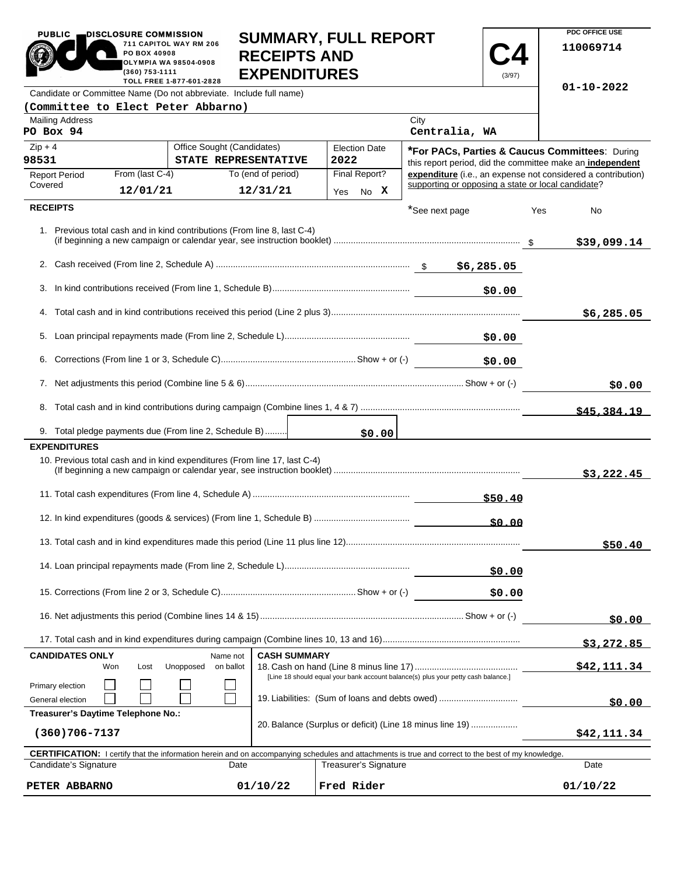| <b>PUBLIC</b><br>DISCLOSURE COMMISSION                                                                                                                                                                               | <b>SUMMARY, FULL REPORT</b> |                                                      |                                            |            |  |                                                                                                             |             |                                                    | PDC OFFICE USE |          |                                                              |
|----------------------------------------------------------------------------------------------------------------------------------------------------------------------------------------------------------------------|-----------------------------|------------------------------------------------------|--------------------------------------------|------------|--|-------------------------------------------------------------------------------------------------------------|-------------|----------------------------------------------------|----------------|----------|--------------------------------------------------------------|
| 711 CAPITOL WAY RM 206<br>PO BOX 40908<br><b>OLYMPIA WA 98504-0908</b><br>(360) 753-1111                                                                                                                             |                             |                                                      | <b>RECEIPTS AND</b><br><b>EXPENDITURES</b> |            |  |                                                                                                             |             |                                                    | (3/97)         |          | 110069714                                                    |
| TOLL FREE 1-877-601-2828<br>Candidate or Committee Name (Do not abbreviate. Include full name)                                                                                                                       |                             |                                                      |                                            |            |  |                                                                                                             |             |                                                    |                |          | $01 - 10 - 2022$                                             |
| (Committee to Elect Peter Abbarno)                                                                                                                                                                                   |                             |                                                      |                                            |            |  |                                                                                                             |             |                                                    |                |          |                                                              |
| <b>Mailing Address</b><br>PO Box 94                                                                                                                                                                                  |                             |                                                      |                                            |            |  |                                                                                                             |             | City<br>Centralia, WA                              |                |          |                                                              |
| $Zip + 4$<br>98531                                                                                                                                                                                                   | Office Sought (Candidates)  | <b>Election Date</b><br>STATE REPRESENTATIVE<br>2022 |                                            |            |  | *For PACs, Parties & Caucus Committees: During<br>this report period, did the committee make an independent |             |                                                    |                |          |                                                              |
| <b>Report Period</b>                                                                                                                                                                                                 | From (last C-4)             |                                                      | To (end of period)                         |            |  | Final Report?                                                                                               |             |                                                    |                |          | expenditure (i.e., an expense not considered a contribution) |
| Covered                                                                                                                                                                                                              | 12/01/21                    |                                                      | 12/31/21                                   |            |  | Yes No X                                                                                                    |             | supporting or opposing a state or local candidate? |                |          |                                                              |
| <b>RECEIPTS</b>                                                                                                                                                                                                      |                             |                                                      |                                            |            |  |                                                                                                             |             | *See next page                                     |                | Yes      | No                                                           |
| 1. Previous total cash and in kind contributions (From line 8, last C-4)                                                                                                                                             |                             |                                                      |                                            |            |  |                                                                                                             |             |                                                    |                |          | \$39,099.14                                                  |
|                                                                                                                                                                                                                      |                             |                                                      |                                            |            |  |                                                                                                             |             |                                                    |                |          |                                                              |
|                                                                                                                                                                                                                      |                             |                                                      |                                            |            |  |                                                                                                             |             |                                                    | \$0.00         |          |                                                              |
|                                                                                                                                                                                                                      |                             |                                                      |                                            |            |  |                                                                                                             |             |                                                    |                |          | \$6,285.05                                                   |
|                                                                                                                                                                                                                      |                             |                                                      |                                            |            |  |                                                                                                             |             |                                                    | \$0.00         |          |                                                              |
|                                                                                                                                                                                                                      |                             |                                                      |                                            |            |  |                                                                                                             |             | \$0.00                                             |                |          |                                                              |
|                                                                                                                                                                                                                      |                             |                                                      |                                            |            |  |                                                                                                             |             | \$0.00                                             |                |          |                                                              |
|                                                                                                                                                                                                                      |                             |                                                      |                                            |            |  |                                                                                                             |             |                                                    |                |          |                                                              |
|                                                                                                                                                                                                                      |                             |                                                      |                                            |            |  |                                                                                                             |             |                                                    |                |          | \$45,384.19                                                  |
| 9. Total pledge payments due (From line 2, Schedule B)<br><b>EXPENDITURES</b>                                                                                                                                        |                             |                                                      |                                            |            |  | \$0.00                                                                                                      |             |                                                    |                |          |                                                              |
| 10. Previous total cash and in kind expenditures (From line 17, last C-4)                                                                                                                                            |                             |                                                      |                                            |            |  |                                                                                                             |             |                                                    |                |          | \$3,222.45                                                   |
|                                                                                                                                                                                                                      |                             |                                                      |                                            |            |  |                                                                                                             |             |                                                    |                |          |                                                              |
|                                                                                                                                                                                                                      |                             |                                                      |                                            |            |  |                                                                                                             |             |                                                    | \$0.00         |          |                                                              |
|                                                                                                                                                                                                                      |                             |                                                      |                                            |            |  |                                                                                                             |             |                                                    |                |          | \$50.40                                                      |
|                                                                                                                                                                                                                      |                             |                                                      |                                            |            |  | \$0.00                                                                                                      |             |                                                    |                |          |                                                              |
|                                                                                                                                                                                                                      |                             |                                                      |                                            |            |  |                                                                                                             |             |                                                    | \$0.00         |          |                                                              |
|                                                                                                                                                                                                                      |                             |                                                      |                                            |            |  |                                                                                                             |             | \$0.00                                             |                |          |                                                              |
|                                                                                                                                                                                                                      |                             |                                                      |                                            |            |  |                                                                                                             |             |                                                    |                |          | \$3,272.85                                                   |
| <b>CANDIDATES ONLY</b><br>Won                                                                                                                                                                                        | Lost                        | Name not<br>Unopposed<br>on ballot                   | <b>CASH SUMMARY</b>                        |            |  |                                                                                                             |             |                                                    |                |          | \$42,111.34                                                  |
| [Line 18 should equal your bank account balance(s) plus your petty cash balance.]<br>Primary election<br>19. Liabilities: (Sum of loans and debts owed)<br>General election                                          |                             |                                                      |                                            |            |  |                                                                                                             | \$0.00      |                                                    |                |          |                                                              |
| Treasurer's Daytime Telephone No.:<br>20. Balance (Surplus or deficit) (Line 18 minus line 19)<br>$(360)706 - 7137$                                                                                                  |                             |                                                      |                                            |            |  |                                                                                                             | \$42,111.34 |                                                    |                |          |                                                              |
|                                                                                                                                                                                                                      |                             |                                                      |                                            |            |  |                                                                                                             |             |                                                    |                |          |                                                              |
| CERTIFICATION: I certify that the information herein and on accompanying schedules and attachments is true and correct to the best of my knowledge.<br>Candidate's Signature<br><b>Treasurer's Signature</b><br>Date |                             |                                                      |                                            |            |  |                                                                                                             | Date        |                                                    |                |          |                                                              |
| 01/10/22<br>PETER ABBARNO                                                                                                                                                                                            |                             |                                                      |                                            | Fred Rider |  |                                                                                                             |             |                                                    |                | 01/10/22 |                                                              |